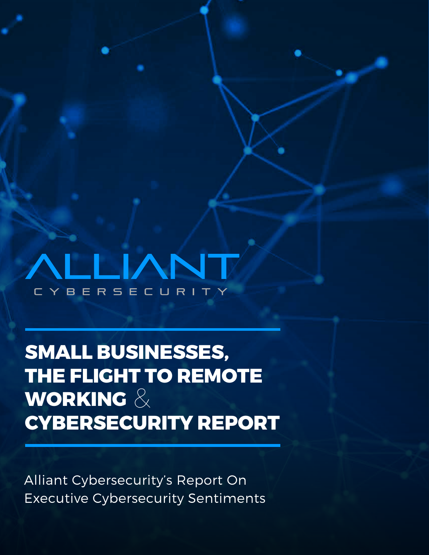BERSECURI

**SMALL BUSINESSES, THE FLIGHT TO REMOTE WORKING** &**CYBERSECURITY REPORT**

Alliant Cybersecurity's Report On Executive Cybersecurity Sentiments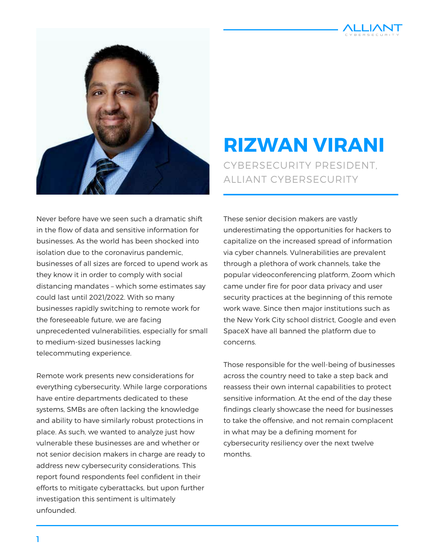



#### CYBERSECURITY PRESIDENT, ALLIANT CYBERSECURITY **RIZWAN VIRANI**

Never before have we seen such a dramatic shift in the flow of data and sensitive information for businesses. As the world has been shocked into isolation due to the coronavirus pandemic, businesses of all sizes are forced to upend work as they know it in order to comply with social distancing mandates – which some estimates say could last until 2021/2022. With so many businesses rapidly switching to remote work for the foreseeable future, we are facing unprecedented vulnerabilities, especially for small to medium-sized businesses lacking telecommuting experience.

Remote work presents new considerations for everything cybersecurity. While large corporations have entire departments dedicated to these systems, SMBs are often lacking the knowledge and ability to have similarly robust protections in place. As such, we wanted to analyze just how vulnerable these businesses are and whether or not senior decision makers in charge are ready to address new cybersecurity considerations. This report found respondents feel confident in their efforts to mitigate cyberattacks, but upon further investigation this sentiment is ultimately unfounded.

These senior decision makers are vastly underestimating the opportunities for hackers to capitalize on the increased spread of information via cyber channels. Vulnerabilities are prevalent through a plethora of work channels, take the popular videoconferencing platform, Zoom which came under fire for poor data privacy and user security practices at the beginning of this remote work wave. Since then major institutions such as the New York City school district, Google and even SpaceX have all banned the platform due to concerns.

Those responsible for the well-being of businesses across the country need to take a step back and reassess their own internal capabilities to protect sensitive information. At the end of the day these findings clearly showcase the need for businesses to take the offensive, and not remain complacent in what may be a defining moment for cybersecurity resiliency over the next twelve months.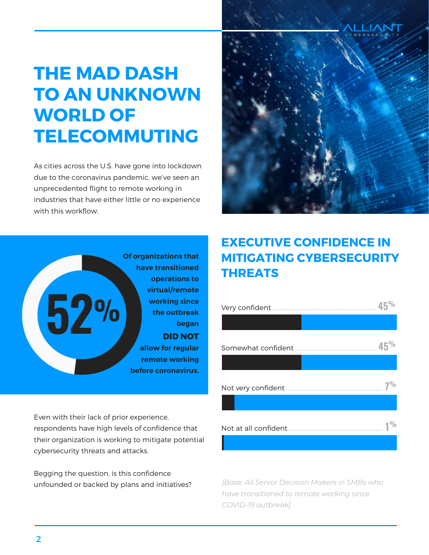### **THE MAD DASH TO AN UNKNOWN WORLD OF TELECOMMUTING**

As cities across the U.S. have gone into lockdown due to the coronavirus pandemic, we've seen an unprecedented flight to remote working in industries that have either little or no experience with this workflow.





Even with their lack of prior experience, respondents have high levels of confidence that their organization is working to mitigate potential cybersecurity threats and attacks.

Begging the question, is this confidence unfounded or backed by plans and initiatives?

#### **EXECUTIVE CONFIDENCE IN MITIGATING CYBERSECURITY THREATS**

| Very confident       |     |
|----------------------|-----|
|                      |     |
|                      | 45% |
|                      |     |
|                      |     |
|                      |     |
| Not at all confident |     |
|                      |     |

*[Base: All Senior Decision Makers in SMBs who have transitioned to remote working since COVID-19 outbreak]*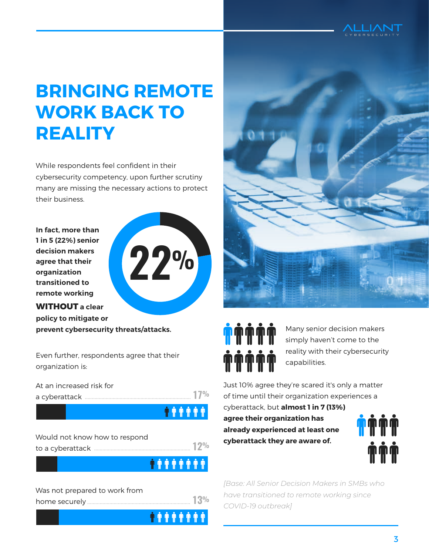

#### **BRINGING REMOTE WORK BACK TO REALITY**

While respondents feel confident in their cybersecurity competency, upon further scrutiny many are missing the necessary actions to protect their business.

**In fact, more than 1 in 5 (22%) senior decision makers agree that their organization transitioned to remote working**



**WITHOUT a clear policy to mitigate or prevent cybersecurity threats/attacks.**

Even further, respondents agree that their organization is:

At an increased risk for a cyberattack ............................................................................ **17%**

**ORAN DESCRIPTION** 

| Would not know how to respond |  |
|-------------------------------|--|
|                               |  |
|                               |  |









Many senior decision makers simply haven't come to the reality with their cybersecurity capabilities.

Just 10% agree they're scared it's only a matter of time until their organization experiences a

cyberattack, but **almost 1 in 7 (13%) agree their organization has already experienced at least one cyberattack they are aware of.**



*[Base: All Senior Decision Makers in SMBs who have transitioned to remote working since COVID-19 outbreak]*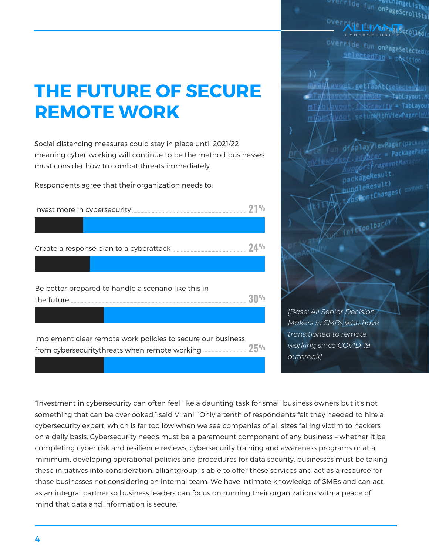# **THE FUTURE OF SECURE REMOTE WORK**

Social distancing measures could stay in place until 2021/22 meaning cyber-working will continue to be the method businesses must consider how to combat threats immediately.

Respondents agree that their organization needs to:

| Be better prepared to handle a scenario like this in        |  |
|-------------------------------------------------------------|--|
|                                                             |  |
| Implement clear remote work policies to secure our business |  |

override fun onPageScrollStat

override fun onPageSelected selectedTag = pastrian

miai/ avost getTabAt(selectedVap) anTabilavonis JubHode - TabLayout.A vout, taburavity' = TabLayou! mT

١ì

displayViewPager(package) ptayyiennes<br>advisc = PackagePage er.agencer<br>LupportfragmentMant packageResult,<br>bundleResult)<br>t/osContChanges(context:

interpolbar()

*[Base: All Senior Decision Makers in SMBs who have transitioned to remote working since COVID-19 outbreak]*

"Investment in cybersecurity can often feel like a daunting task for small business owners but it's not something that can be overlooked," said Virani. "Only a tenth of respondents felt they needed to hire a cybersecurity expert, which is far too low when we see companies of all sizes falling victim to hackers on a daily basis. Cybersecurity needs must be a paramount component of any business – whether it be completing cyber risk and resilience reviews, cybersecurity training and awareness programs or at a minimum, developing operational policies and procedures for data security, businesses must be taking these initiatives into consideration. alliantgroup is able to offer these services and act as a resource for those businesses not considering an internal team. We have intimate knowledge of SMBs and can act as an integral partner so business leaders can focus on running their organizations with a peace of mind that data and information is secure."